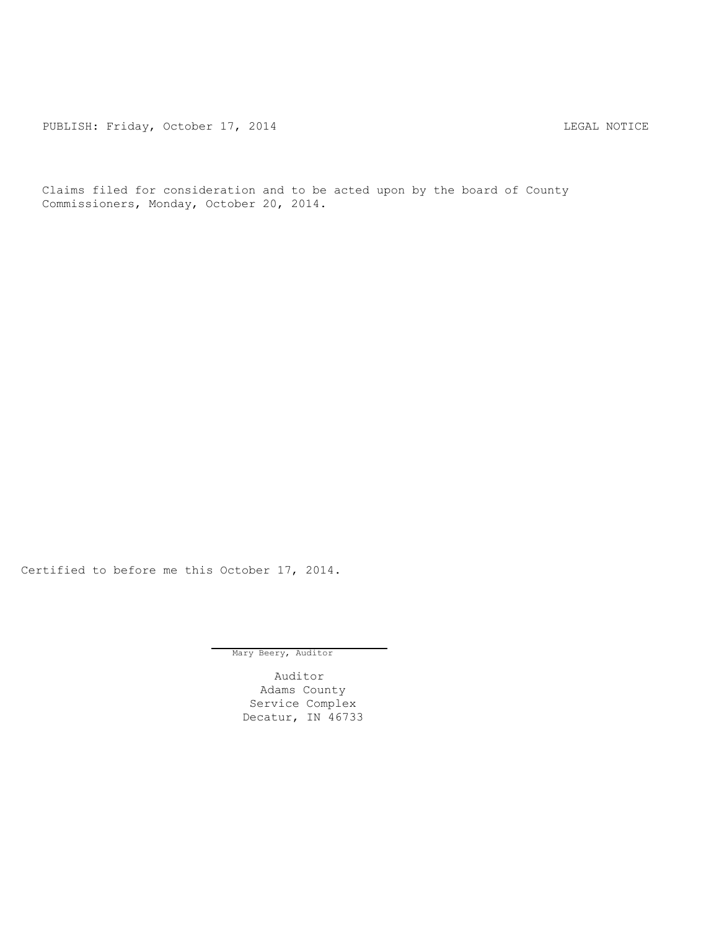PUBLISH: Friday, October 17, 2014 CHA CHARL MOTICE

Claims filed for consideration and to be acted upon by the board of County Commissioners, Monday, October 20, 2014.

Certified to before me this October 17, 2014.

Mary Beery, Auditor

Auditor Adams County Service Complex Decatur, IN 46733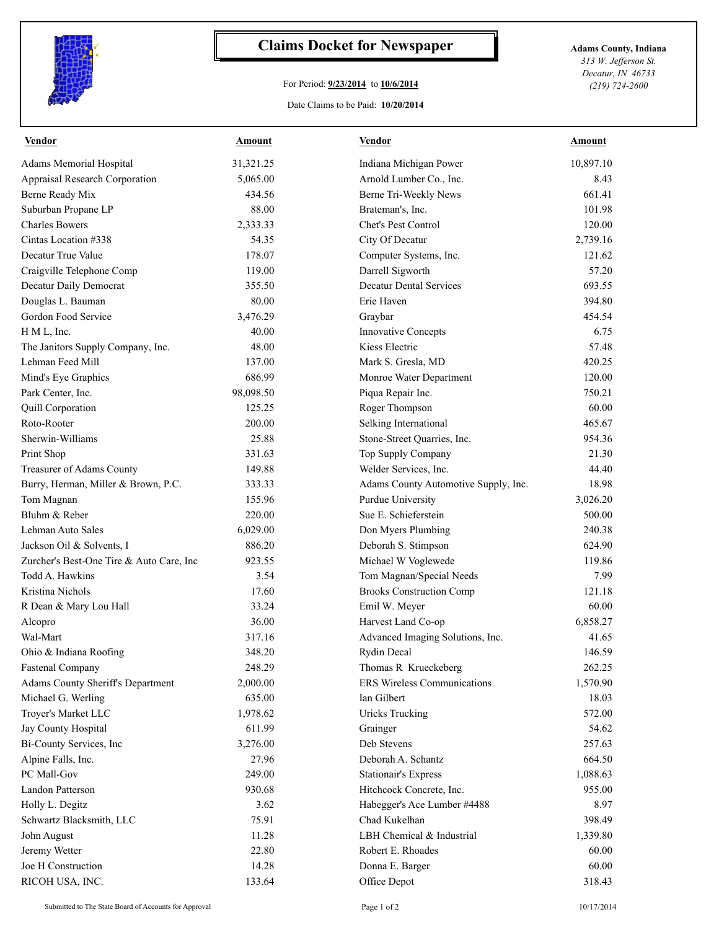

## **Claims Docket for Newspaper Adams County, Indiana**

## For Period: **9/23/2014** to **10/6/2014**

Date Claims to be Paid: **10/20/2014**

*313 W. Jefferson St. Decatur, IN 46733 (219) 724-2600*

| <b>Vendor</b>                            | <b>Amount</b> | <b>Vendor</b>                        | <b>Amount</b> |
|------------------------------------------|---------------|--------------------------------------|---------------|
| <b>Adams Memorial Hospital</b>           | 31,321.25     | Indiana Michigan Power               | 10,897.10     |
| <b>Appraisal Research Corporation</b>    | 5,065.00      | Arnold Lumber Co., Inc.              | 8.43          |
| Berne Ready Mix                          | 434.56        | Berne Tri-Weekly News                | 661.41        |
| Suburban Propane LP                      | 88.00         | Brateman's, Inc.                     | 101.98        |
| <b>Charles Bowers</b>                    | 2,333.33      | Chet's Pest Control                  | 120.00        |
| Cintas Location #338                     | 54.35         | City Of Decatur                      | 2,739.16      |
| Decatur True Value                       | 178.07        | Computer Systems, Inc.               | 121.62        |
| Craigville Telephone Comp                | 119.00        | Darrell Sigworth                     | 57.20         |
| Decatur Daily Democrat                   | 355.50        | <b>Decatur Dental Services</b>       | 693.55        |
| Douglas L. Bauman                        | 80.00         | Erie Haven                           | 394.80        |
| Gordon Food Service                      | 3,476.29      | Graybar                              | 454.54        |
| H M L, Inc.                              | 40.00         | <b>Innovative Concepts</b>           | 6.75          |
| The Janitors Supply Company, Inc.        | 48.00         | Kiess Electric                       | 57.48         |
| Lehman Feed Mill                         | 137.00        | Mark S. Gresla, MD                   | 420.25        |
| Mind's Eye Graphics                      | 686.99        | Monroe Water Department              | 120.00        |
| Park Center, Inc.                        | 98,098.50     | Piqua Repair Inc.                    | 750.21        |
| <b>Quill Corporation</b>                 | 125.25        | Roger Thompson                       | 60.00         |
| Roto-Rooter                              | 200.00        | Selking International                | 465.67        |
| Sherwin-Williams                         | 25.88         | Stone-Street Quarries, Inc.          | 954.36        |
| Print Shop                               | 331.63        | Top Supply Company                   | 21.30         |
| Treasurer of Adams County                | 149.88        | Welder Services, Inc.                | 44.40         |
| Burry, Herman, Miller & Brown, P.C.      | 333.33        | Adams County Automotive Supply, Inc. | 18.98         |
| Tom Magnan                               | 155.96        | Purdue University                    | 3,026.20      |
| Bluhm & Reber                            | 220.00        | Sue E. Schieferstein                 | 500.00        |
| Lehman Auto Sales                        | 6,029.00      | Don Myers Plumbing                   | 240.38        |
| Jackson Oil & Solvents, I                | 886.20        | Deborah S. Stimpson                  | 624.90        |
| Zurcher's Best-One Tire & Auto Care, Inc | 923.55        | Michael W Voglewede                  | 119.86        |
| Todd A. Hawkins                          | 3.54          | Tom Magnan/Special Needs             | 7.99          |
| Kristina Nichols                         | 17.60         | <b>Brooks Construction Comp</b>      | 121.18        |
| R Dean & Mary Lou Hall                   | 33.24         | Emil W. Meyer                        | 60.00         |
| Alcopro                                  | 36.00         | Harvest Land Co-op                   | 6,858.27      |
| Wal-Mart                                 | 317.16        | Advanced Imaging Solutions, Inc.     | 41.65         |
| Ohio & Indiana Roofing                   | 348.20        | Rydin Decal                          | 146.59        |
| <b>Fastenal Company</b>                  | 248.29        | Thomas R Krueckeberg                 | 262.25        |
| <b>Adams County Sheriff's Department</b> | 2,000.00      | ERS Wireless Communications          | 1,570.90      |
| Michael G. Werling                       | 635.00        | Ian Gilbert                          | 18.03         |
| Troyer's Market LLC                      | 1,978.62      | <b>Uricks Trucking</b>               | 572.00        |
| Jay County Hospital                      | 611.99        | Grainger                             | 54.62         |
| Bi-County Services, Inc                  | 3,276.00      | Deb Stevens                          | 257.63        |
| Alpine Falls, Inc.                       | 27.96         | Deborah A. Schantz                   | 664.50        |
| PC Mall-Gov                              | 249.00        | <b>Stationair's Express</b>          | 1,088.63      |
| <b>Landon Patterson</b>                  | 930.68        | Hitchcock Concrete, Inc.             | 955.00        |
| Holly L. Degitz                          | 3.62          | Habegger's Ace Lumber #4488          | 8.97          |
| Schwartz Blacksmith, LLC                 | 75.91         | Chad Kukelhan                        | 398.49        |
| John August                              | 11.28         | LBH Chemical & Industrial            | 1,339.80      |
| Jeremy Wetter                            | 22.80         | Robert E. Rhoades                    | 60.00         |
| Joe H Construction                       | 14.28         | Donna E. Barger                      | 60.00         |
| RICOH USA, INC.                          | 133.64        | Office Depot                         | 318.43        |